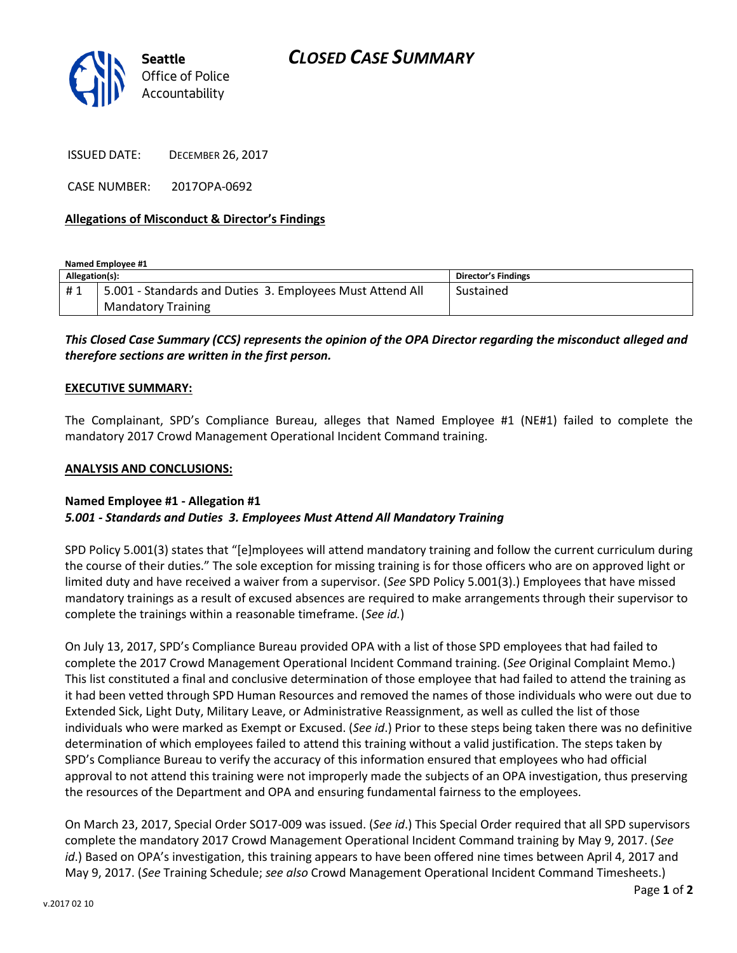

ISSUED DATE: DECEMBER 26, 2017

CASE NUMBER: 2017OPA-0692

### **Allegations of Misconduct & Director's Findings**

**Named Employee #1**

| Allegation(s): |                                                           | <b>Director's Findings</b> |
|----------------|-----------------------------------------------------------|----------------------------|
| #1             | 5.001 - Standards and Duties 3. Employees Must Attend All | Sustained                  |
|                | <b>Mandatory Training</b>                                 |                            |

## *This Closed Case Summary (CCS) represents the opinion of the OPA Director regarding the misconduct alleged and therefore sections are written in the first person.*

#### **EXECUTIVE SUMMARY:**

The Complainant, SPD's Compliance Bureau, alleges that Named Employee #1 (NE#1) failed to complete the mandatory 2017 Crowd Management Operational Incident Command training.

#### **ANALYSIS AND CONCLUSIONS:**

#### **Named Employee #1 - Allegation #1** *5.001 - Standards and Duties 3. Employees Must Attend All Mandatory Training*

SPD Policy 5.001(3) states that "[e]mployees will attend mandatory training and follow the current curriculum during the course of their duties." The sole exception for missing training is for those officers who are on approved light or limited duty and have received a waiver from a supervisor. (*See* SPD Policy 5.001(3).) Employees that have missed mandatory trainings as a result of excused absences are required to make arrangements through their supervisor to complete the trainings within a reasonable timeframe. (*See id.*)

On July 13, 2017, SPD's Compliance Bureau provided OPA with a list of those SPD employees that had failed to complete the 2017 Crowd Management Operational Incident Command training. (*See* Original Complaint Memo.) This list constituted a final and conclusive determination of those employee that had failed to attend the training as it had been vetted through SPD Human Resources and removed the names of those individuals who were out due to Extended Sick, Light Duty, Military Leave, or Administrative Reassignment, as well as culled the list of those individuals who were marked as Exempt or Excused. (*See id*.) Prior to these steps being taken there was no definitive determination of which employees failed to attend this training without a valid justification. The steps taken by SPD's Compliance Bureau to verify the accuracy of this information ensured that employees who had official approval to not attend this training were not improperly made the subjects of an OPA investigation, thus preserving the resources of the Department and OPA and ensuring fundamental fairness to the employees.

On March 23, 2017, Special Order SO17-009 was issued. (*See id*.) This Special Order required that all SPD supervisors complete the mandatory 2017 Crowd Management Operational Incident Command training by May 9, 2017. (*See id*.) Based on OPA's investigation, this training appears to have been offered nine times between April 4, 2017 and May 9, 2017. (*See* Training Schedule; *see also* Crowd Management Operational Incident Command Timesheets.)